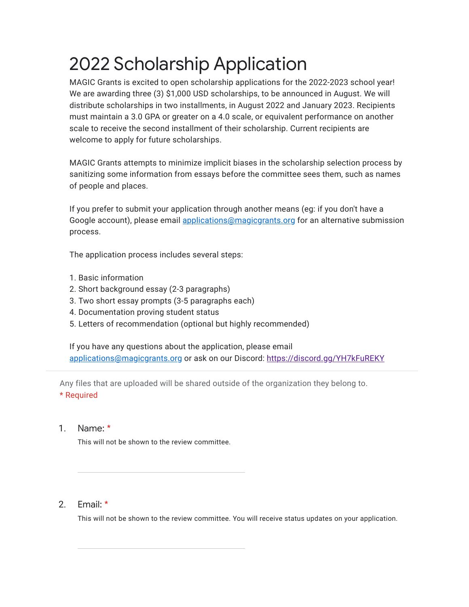# 2022 Scholarship Application

MAGIC Grants is excited to open scholarship applications for the 2022-2023 school year! We are awarding three (3) \$1,000 USD scholarships, to be announced in August. We will distribute scholarships in two installments, in August 2022 and January 2023. Recipients must maintain a 3.0 GPA or greater on a 4.0 scale, or equivalent performance on another scale to receive the second installment of their scholarship. Current recipients are welcome to apply for future scholarships.

MAGIC Grants attempts to minimize implicit biases in the scholarship selection process by sanitizing some information from essays before the committee sees them, such as names of people and places.

If you prefer to submit your application through another means (eg: if you don't have a Google account), please email [applications@magicgrants.org](mailto:applications@magicgrants.org) for an alternative submission process.

The application process includes several steps:

- 1. Basic information
- 2. Short background essay (2-3 paragraphs)
- 3. Two short essay prompts (3-5 paragraphs each)
- 4. Documentation proving student status
- 5. Letters of recommendation (optional but highly recommended)

If you have any questions about the application, please email [applications@magicgrants.org](mailto:applications@magicgrants.org) or ask on our Discord:<https://discord.gg/YH7kFuREKY>

Any files that are uploaded will be shared outside of the organization they belong to. \* Required

## 1. Name: \*

This will not be shown to the review committee.

### $2<sup>2</sup>$ Email: \*

This will not be shown to the review committee. You will receive status updates on your application.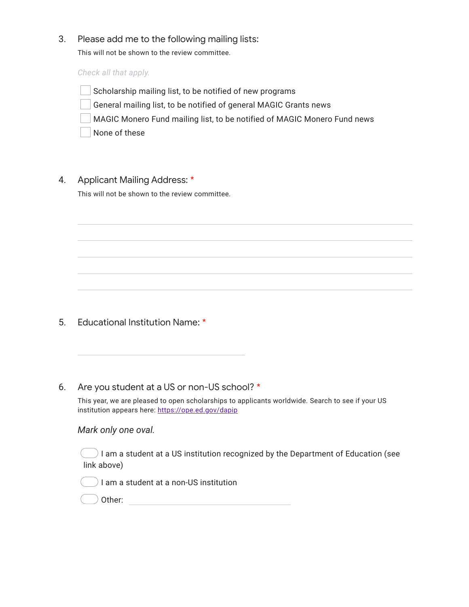## 3. Please add me to the following mailing lists:

This will not be shown to the review committee.

*Check all that apply.*

- Scholarship mailing list, to be notified of new programs
- General mailing list, to be notified of general MAGIC Grants news
- MAGIC Monero Fund mailing list, to be notified of MAGIC Monero Fund news

None of these

## 4. Applicant Mailing Address: \*

This will not be shown to the review committee.

## 5. Educational Institution Name: \*

### 6. Are you student at a US or non-US school? \*

This year, we are pleased to open scholarships to applicants worldwide. Search to see if your US institution appears here:<https://ope.ed.gov/dapip>

## *Mark only one oval.*

 $\Box$  I am a student at a US institution recognized by the Department of Education (see link above)

I am a student at a non-US institution

|  | Other: |
|--|--------|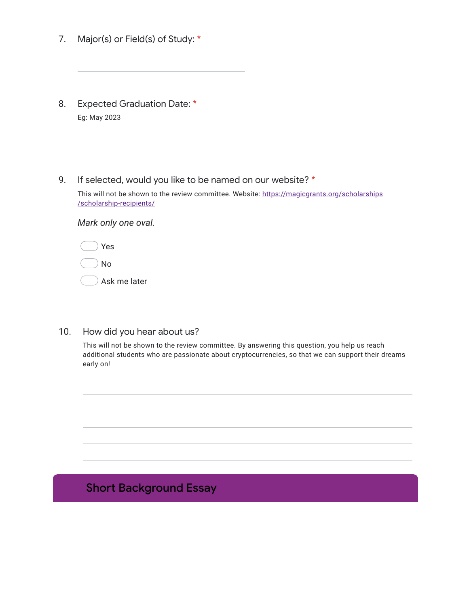- 7. Major(s) or Field(s) of Study: \*
- 8. Expected Graduation Date: \* Eg: May 2023
- 9. If selected, would you like to be named on our website? \*

This will not be shown to the review committee. Website: [https://magicgrants.org/scholarships](https://magicgrants.org/scholarships/scholarship-recipients/) [/scholarship-recipients/](https://magicgrants.org/scholarships/scholarship-recipients/)

*Mark only one oval.*

No

Ask me later

### 10. How did you hear about us?

This will not be shown to the review committee. By answering this question, you help us reach additional students who are passionate about cryptocurrencies, so that we can support their dreams early on!

## Short Background Essay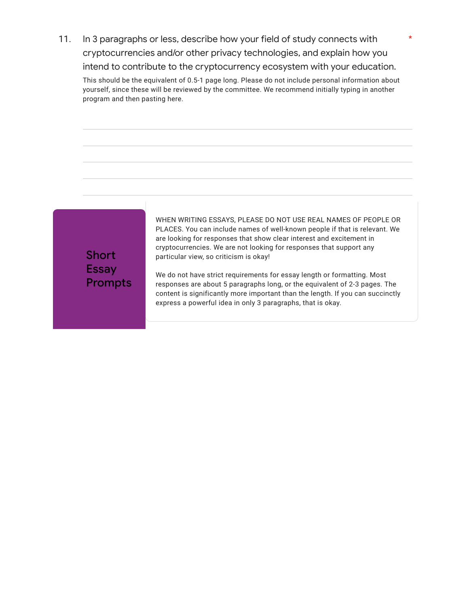11. In 3 paragraphs or less, describe how your field of study connects with cryptocurrencies and/or other privacy technologies, and explain how you intend to contribute to the cryptocurrency ecosystem with your education.

This should be the equivalent of 0.5-1 page long. Please do not include personal information about yourself, since these will be reviewed by the committee. We recommend initially typing in another program and then pasting here.



WHEN WRITING ESSAYS, PLEASE DO NOT USE REAL NAMES OF PEOPLE OR PLACES. You can include names of well-known people if that is relevant. We are looking for responses that show clear interest and excitement in cryptocurrencies. We are not looking for responses that support any particular view, so criticism is okay!

\*

We do not have strict requirements for essay length or formatting. Most responses are about 5 paragraphs long, or the equivalent of 2-3 pages. The content is significantly more important than the length. If you can succinctly express a powerful idea in only 3 paragraphs, that is okay.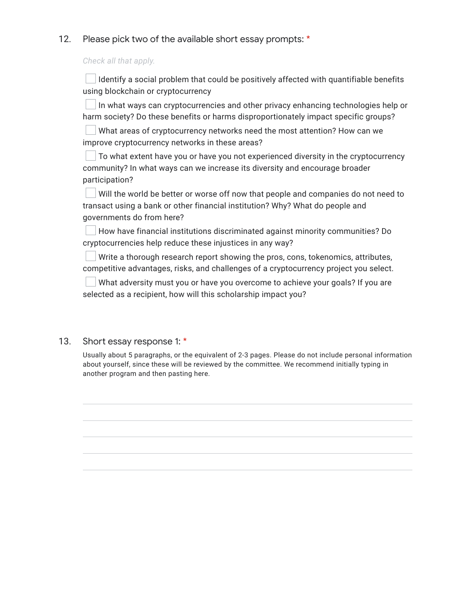## 12. Please pick two of the available short essay prompts: \*

*Check all that apply.*

Identify a social problem that could be positively affected with quantifiable benefits using blockchain or cryptocurrency

 $\Box$  In what ways can cryptocurrencies and other privacy enhancing technologies help or harm society? Do these benefits or harms disproportionately impact specific groups?

What areas of cryptocurrency networks need the most attention? How can we improve cryptocurrency networks in these areas?

To what extent have you or have you not experienced diversity in the cryptocurrency community? In what ways can we increase its diversity and encourage broader participation?

Will the world be better or worse off now that people and companies do not need to transact using a bank or other financial institution? Why? What do people and governments do from here?

How have financial institutions discriminated against minority communities? Do cryptocurrencies help reduce these injustices in any way?

Write a thorough research report showing the pros, cons, tokenomics, attributes, competitive advantages, risks, and challenges of a cryptocurrency project you select.

What adversity must you or have you overcome to achieve your goals? If you are selected as a recipient, how will this scholarship impact you?

## 13. Short essay response 1: \*

Usually about 5 paragraphs, or the equivalent of 2-3 pages. Please do not include personal information about yourself, since these will be reviewed by the committee. We recommend initially typing in another program and then pasting here.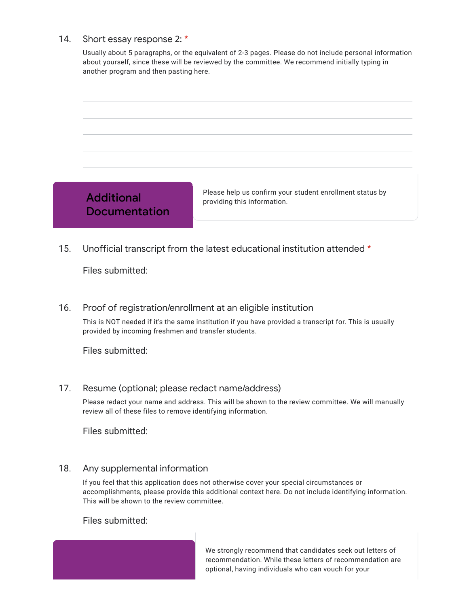### 14. Short essay response 2: \*

Usually about 5 paragraphs, or the equivalent of 2-3 pages. Please do not include personal information about yourself, since these will be reviewed by the committee. We recommend initially typing in another program and then pasting here.



15. Unofficial transcript from the latest educational institution attended \*

Files submitted:

## 16. Proof of registration/enrollment at an eligible institution

This is NOT needed if it's the same institution if you have provided a transcript for. This is usually provided by incoming freshmen and transfer students.

Files submitted:

### 17. Resume (optional; please redact name/address)

Please redact your name and address. This will be shown to the review committee. We will manually review all of these files to remove identifying information.

Files submitted:

### 18. Any supplemental information

If you feel that this application does not otherwise cover your special circumstances or accomplishments, please provide this additional context here. Do not include identifying information. This will be shown to the review committee.

Files submitted:

We strongly recommend that candidates seek out letters of recommendation. While these letters of recommendation are optional, having individuals who can vouch for your